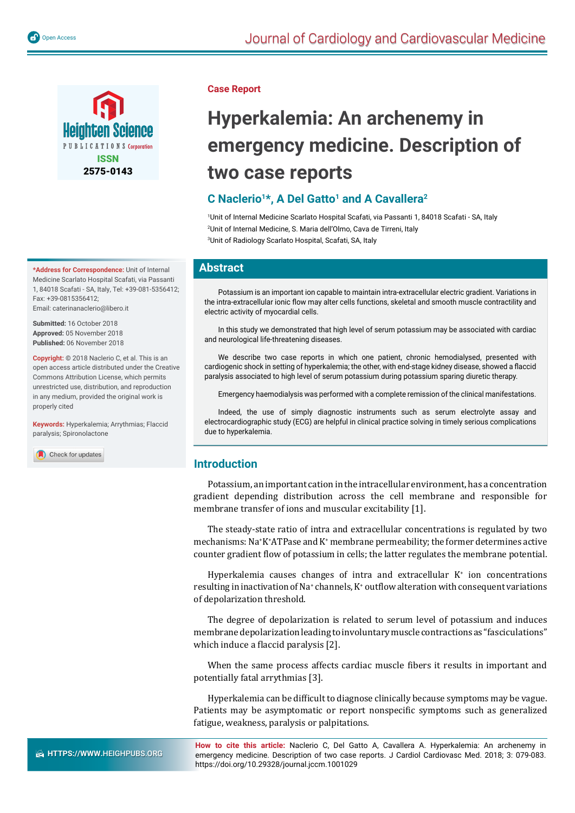

**\*Address for Correspondence:** Unit of Internal Medicine Scarlato Hospital Scafati, via Passanti 1, 84018 Scafati - SA, Italy, Tel: +39-081-5356412; Fax: +39-0815356412; Email: caterinanaclerio@libero.it

**Submitted:** 16 October 2018 **Approved:** 05 November 2018 **Published:** 06 November 2018

**Copyright:** © 2018 Naclerio C, et al. This is an open access article distributed under the Creative Commons Attribution License, which permits unrestricted use, distribution, and reproduction in any medium, provided the original work is properly cited

**Keywords:** Hyperkalemia; Arrythmias; Flaccid paralysis; Spironolactone

Check for updates

#### **Case Report**

# **Hyperkalemia: An archenemy in emergency medicine. Description of two case reports**

# **C Naclerio1\*, A Del Gatto1 and A Cavallera2**

1 Unit of Internal Medicine Scarlato Hospital Scafati, via Passanti 1, 84018 Scafati - SA, Italy 2 Unit of Internal Medicine, S. Maria dell'Olmo, Cava de Tirreni, Italy 3 Unit of Radiology Scarlato Hospital, Scafati, SA, Italy

## **Abstract**

Potassium is an important ion capable to maintain intra-extracellular electric gradient. Variations in the intra-extracellular ionic flow may alter cells functions, skeletal and smooth muscle contractility and electric activity of myocardial cells.

In this study we demonstrated that high level of serum potassium may be associated with cardiac and neurological life-threatening diseases.

We describe two case reports in which one patient, chronic hemodialysed, presented with cardiogenic shock in setting of hyperkalemia; the other, with end-stage kidney disease, showed a flaccid paralysis associated to high level of serum potassium during potassium sparing diuretic therapy.

Emergency haemodialysis was performed with a complete remission of the clinical manifestations.

Indeed, the use of simply diagnostic instruments such as serum electrolyte assay and electrocardiographic study (ECG) are helpful in clinical practice solving in timely serious complications due to hyperkalemia.

## **Introduction**

Potassium, an important cation in the intracellular environment, has a concentration gradient depending distribution across the cell membrane and responsible for membrane transfer of ions and muscular excitability [1].

The steady-state ratio of intra and extracellular concentrations is regulated by two mechanisms: Na+ K+ ATPase and K+ membrane permeability; the former determines active counter gradient flow of potassium in cells; the latter regulates the membrane potential.

Hyperkalemia causes changes of intra and extracellular  $K^+$  ion concentrations resulting in inactivation of Na<sup>+</sup> channels,  $K^*$  outflow alteration with consequent variations of depolarization threshold.

The degree of depolarization is related to serum level of potassium and induces membrane depolarization leading to involuntary muscle contractions as "fasciculations" which induce a flaccid paralysis [2].

When the same process affects cardiac muscle fibers it results in important and potentially fatal arrythmias [3].

Hyperkalemia can be difficult to diagnose clinically because symptoms may be vague. Patients may be asymptomatic or report nonspecific symptoms such as generalized fatigue, weakness, paralysis or palpitations.

**How to cite this article:** Naclerio C, Del Gatto A, Cavallera A. Hyperkalemia: An archenemy in emergency medicine. Description of two case reports. J Cardiol Cardiovasc Med. 2018; 3: 079-083. https://doi.org/10.29328/journal.jccm.1001029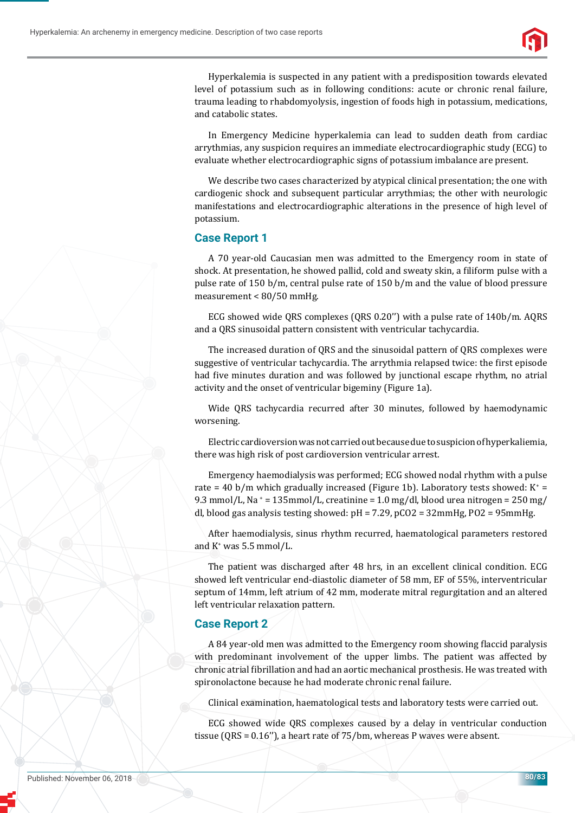

Hyperkalemia is suspected in any patient with a predisposition towards elevated level of potassium such as in following conditions: acute or chronic renal failure, trauma leading to rhabdomyolysis, ingestion of foods high in potassium, medications, and catabolic states.

In Emergency Medicine hyperkalemia can lead to sudden death from cardiac arrythmias, any suspicion requires an immediate electrocardiographic study (ECG) to evaluate whether electrocardiographic signs of potassium imbalance are present.

We describe two cases characterized by atypical clinical presentation; the one with cardiogenic shock and subsequent particular arrythmias; the other with neurologic manifestations and electrocardiographic alterations in the presence of high level of potassium.

## **Case Report 1**

A 70 year-old Caucasian men was admitted to the Emergency room in state of shock. At presentation, he showed pallid, cold and sweaty skin, a filiform pulse with a pulse rate of 150 b/m, central pulse rate of 150 b/m and the value of blood pressure measurement < 80/50 mmHg.

ECG showed wide QRS complexes (QRS 0.20'') with a pulse rate of 140b/m. AQRS and a QRS sinusoidal pattern consistent with ventricular tachycardia.

The increased duration of QRS and the sinusoidal pattern of QRS complexes were suggestive of ventricular tachycardia. The arrythmia relapsed twice: the first episode had five minutes duration and was followed by junctional escape rhythm, no atrial activity and the onset of ventricular bigeminy (Figure 1a).

Wide QRS tachycardia recurred after 30 minutes, followed by haemodynamic worsening.

Electric cardioversion was not carried out because due to suspicion of hyperkaliemia, there was high risk of post cardioversion ventricular arrest.

Emergency haemodialysis was performed; ECG showed nodal rhythm with a pulse rate = 40 b/m which gradually increased (Figure 1b). Laboratory tests showed:  $K^+$  = 9.3 mmol/L, Na  $= 135$ mmol/L, creatinine  $= 1.0$  mg/dl, blood urea nitrogen  $= 250$  mg/ dl, blood gas analysis testing showed: pH = 7.29, pCO2 = 32mmHg, PO2 = 95mmHg.

After haemodialysis, sinus rhythm recurred, haematological parameters restored and  $K^*$  was 5.5 mmol/L.

The patient was discharged after 48 hrs, in an excellent clinical condition. ECG showed left ventricular end-diastolic diameter of 58 mm, EF of 55%, interventricular septum of 14mm, left atrium of 42 mm, moderate mitral regurgitation and an altered left ventricular relaxation pattern.

## **Case Report 2**

A 84 year-old men was admitted to the Emergency room showing flaccid paralysis with predominant involvement of the upper limbs. The patient was affected by chronic atrial fibrillation and had an aortic mechanical prosthesis. He was treated with spironolactone because he had moderate chronic renal failure.

Clinical examination, haematological tests and laboratory tests were carried out.

ECG showed wide QRS complexes caused by a delay in ventricular conduction tissue (QRS = 0.16''), a heart rate of 75/bm, whereas P waves were absent.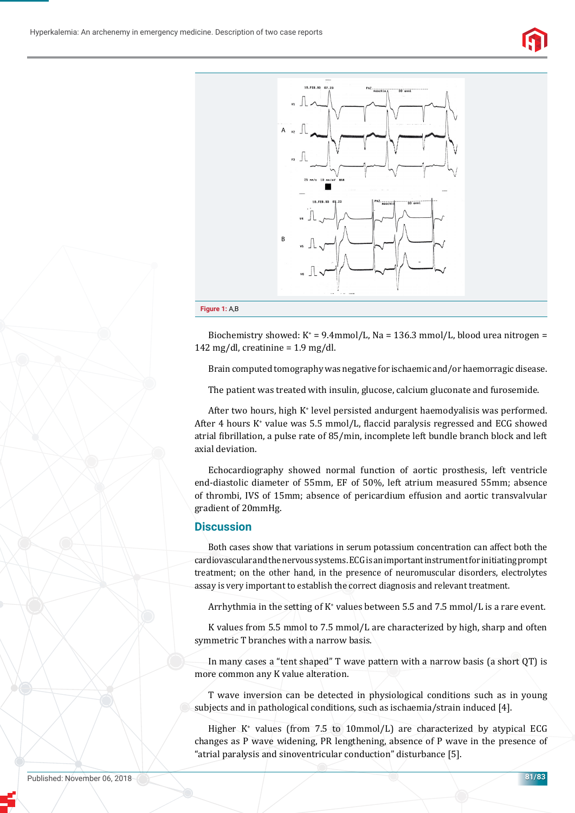



Biochemistry showed:  $K^* = 9.4$ mmol/L, Na = 136.3 mmol/L, blood urea nitrogen = 142 mg/dl, creatinine =  $1.9$  mg/dl.

Brain computed tomography was negative for ischaemic and/or haemorragic disease.

The patient was treated with insulin, glucose, calcium gluconate and furosemide.

After two hours, high K+ level persisted andurgent haemodyalisis was performed. After 4 hours K<sup>+</sup> value was 5.5 mmol/L, flaccid paralysis regressed and ECG showed atrial ϐibrillation, a pulse rate of 85/min, incomplete left bundle branch block and left axial deviation.

Echocardiography showed normal function of aortic prosthesis, left ventricle end-diastolic diameter of 55mm, EF of 50%, left atrium measured 55mm; absence of thrombi, IVS of 15mm; absence of pericardium effusion and aortic transvalvular gradient of 20mmHg.

## **Discussion**

Both cases show that variations in serum potassium concentration can affect both the cardiovascular and the nervous systems. ECG is an important instrument for initiating prompt treatment; on the other hand, in the presence of neuromuscular disorders, electrolytes assay is very important to establish the correct diagnosis and relevant treatment.

Arrhythmia in the setting of K<sup>+</sup> values between 5.5 and 7.5 mmol/L is a rare event.

K values from 5.5 mmol to 7.5 mmol/L are characterized by high, sharp and often symmetric T branches with a narrow basis.

In many cases a "tent shaped" T wave pattern with a narrow basis (a short QT) is more common any K value alteration.

T wave inversion can be detected in physiological conditions such as in young subjects and in pathological conditions, such as ischaemia/strain induced [4].

Higher K<sup>+</sup> values (from 7.5 to 10mmol/L) are characterized by atypical ECG changes as P wave widening, PR lengthening, absence of P wave in the presence of "atrial paralysis and sinoventricular conduction" disturbance [5].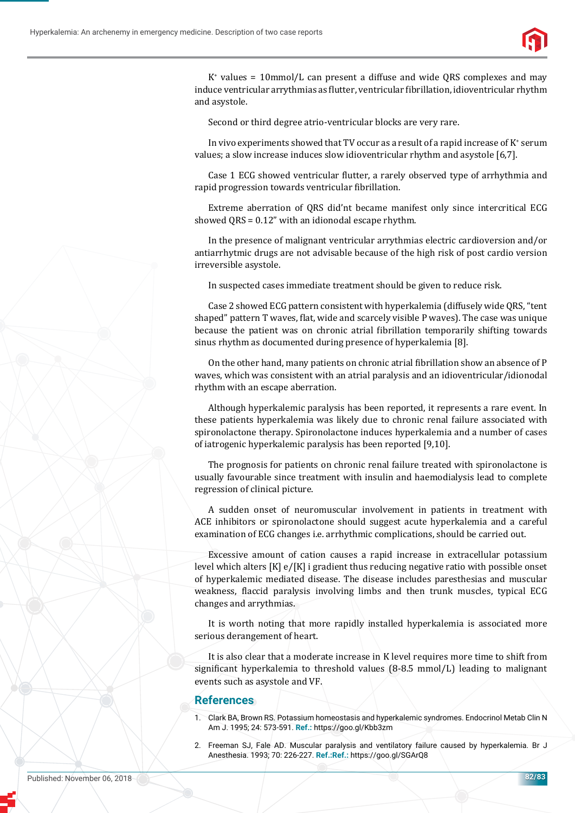

K+ values = 10mmol/L can present a diffuse and wide QRS complexes and may induce ventricular arrythmias as flutter, ventricular fibrillation, idioventricular rhythm and asystole.

Second or third degree atrio-ventricular blocks are very rare.

In vivo experiments showed that TV occur as a result of a rapid increase of  $K^*$  serum values; a slow increase induces slow idioventricular rhythm and asystole [6,7].

Case 1 ECG showed ventricular flutter, a rarely observed type of arrhythmia and rapid progression towards ventricular fibrillation.

Extreme aberration of QRS did'nt became manifest only since intercritical ECG showed QRS = 0.12" with an idionodal escape rhythm.

In the presence of malignant ventricular arrythmias electric cardioversion and/or antiarrhytmic drugs are not advisable because of the high risk of post cardio version irreversible asystole.

In suspected cases immediate treatment should be given to reduce risk.

Case 2 showed ECG pattern consistent with hyperkalemia (diffusely wide QRS, "tent shaped" pattern T waves, flat, wide and scarcely visible P waves). The case was unique because the patient was on chronic atrial fibrillation temporarily shifting towards sinus rhythm as documented during presence of hyperkalemia [8].

On the other hand, many patients on chronic atrial fibrillation show an absence of P waves, which was consistent with an atrial paralysis and an idioventricular/idionodal rhythm with an escape aberration.

Although hyperkalemic paralysis has been reported, it represents a rare event. In these patients hyperkalemia was likely due to chronic renal failure associated with spironolactone therapy. Spironolactone induces hyperkalemia and a number of cases of iatrogenic hyperkalemic paralysis has been reported [9,10].

The prognosis for patients on chronic renal failure treated with spironolactone is usually favourable since treatment with insulin and haemodialysis lead to complete regression of clinical picture.

A sudden onset of neuromuscular involvement in patients in treatment with ACE inhibitors or spironolactone should suggest acute hyperkalemia and a careful examination of ECG changes i.e. arrhythmic complications, should be carried out.

Excessive amount of cation causes a rapid increase in extracellular potassium level which alters [K] e/[K] i gradient thus reducing negative ratio with possible onset of hyperkalemic mediated disease. The disease includes paresthesias and muscular weakness, flaccid paralysis involving limbs and then trunk muscles, typical ECG changes and arrythmias.

It is worth noting that more rapidly installed hyperkalemia is associated more serious derangement of heart.

It is also clear that a moderate increase in K level requires more time to shift from significant hyperkalemia to threshold values  $(8-8.5 \text{ mmol/L})$  leading to malignant events such as asystole and VF.

#### **References**

- 1. Clark BA, Brown RS. Potassium homeostasis and hyperkalemic syndromes. Endocrinol Metab Clin N Am J. 1995; 24: 573-591. **Ref.:** https://goo.gl/Kbb3zm
- 2. Freeman SJ, Fale AD. Muscular paralysis and ventilatory failure caused by hyperkalemia. Br J Anesthesia. 1993; 70: 226-227. Ref.: Ref.: https://goo.gl/SGArQ8